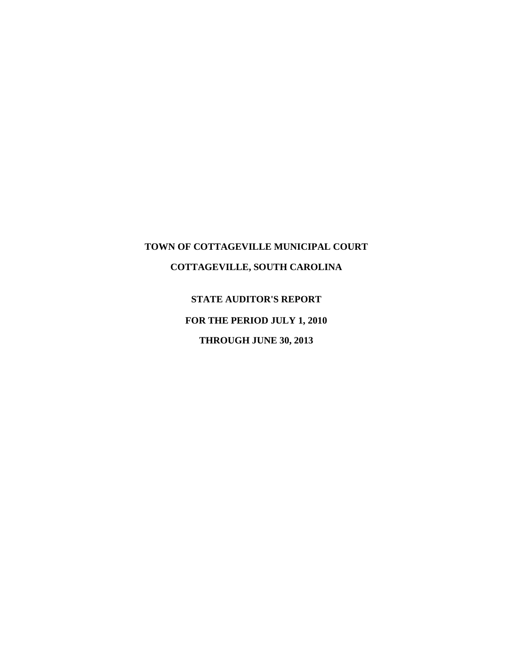# **TOWN OF COTTAGEVILLE MUNICIPAL COURT COTTAGEVILLE, SOUTH CAROLINA**

**STATE AUDITOR'S REPORT FOR THE PERIOD JULY 1, 2010 THROUGH JUNE 30, 2013**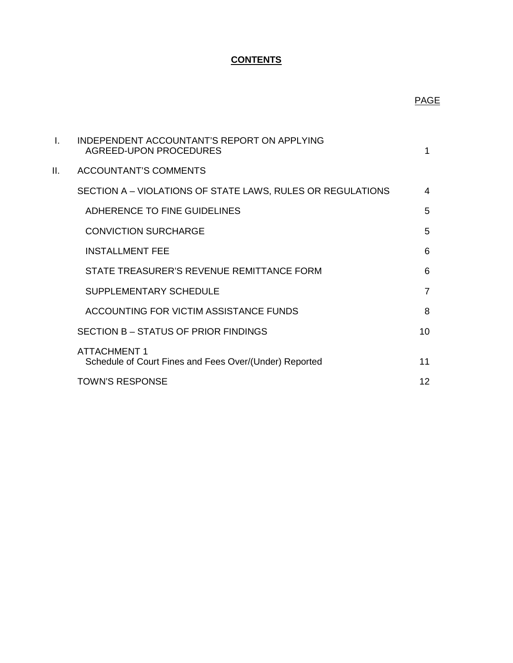## **CONTENTS**

## PAGE

|    | INDEPENDENT ACCOUNTANT'S REPORT ON APPLYING<br>AGREED-UPON PROCEDURES         | 1              |
|----|-------------------------------------------------------------------------------|----------------|
| Ш. | <b>ACCOUNTANT'S COMMENTS</b>                                                  |                |
|    | SECTION A - VIOLATIONS OF STATE LAWS, RULES OR REGULATIONS                    | 4              |
|    | ADHERENCE TO FINE GUIDELINES                                                  | 5              |
|    | <b>CONVICTION SURCHARGE</b>                                                   | 5              |
|    | <b>INSTALLMENT FEE</b>                                                        | 6              |
|    | STATE TREASURER'S REVENUE REMITTANCE FORM                                     | 6              |
|    | SUPPLEMENTARY SCHEDULE                                                        | $\overline{7}$ |
|    | ACCOUNTING FOR VICTIM ASSISTANCE FUNDS                                        | 8              |
|    | SECTION B - STATUS OF PRIOR FINDINGS                                          | 10             |
|    | <b>ATTACHMENT 1</b><br>Schedule of Court Fines and Fees Over/(Under) Reported | 11             |
|    | <b>TOWN'S RESPONSE</b>                                                        | 12             |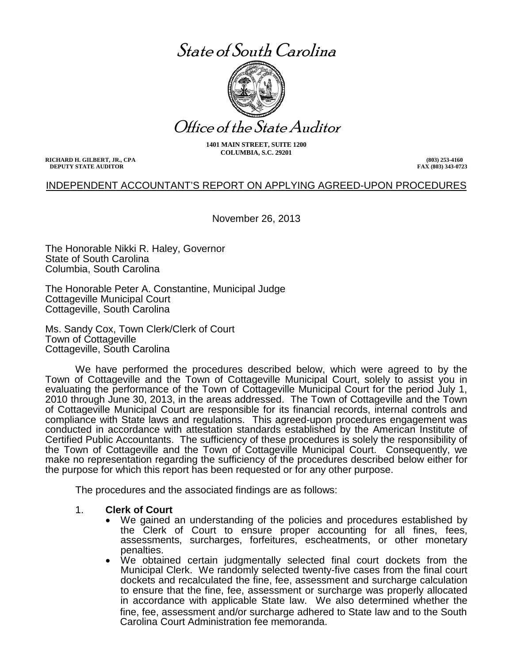# State of South Carolina



Office of the State Auditor

**1401 MAIN STREET, SUITE 1200 COLUMBIA, S.C. 29201**

**RICHARD H. GILBERT, JR., CPA DEPUTY STATE AUDITOR**

**(803) 253-4160 FAX (803) 343-0723**

#### INDEPENDENT ACCOUNTANT'S REPORT ON APPLYING AGREED-UPON PROCEDURES

November 26, 2013

The Honorable Nikki R. Haley, Governor State of South Carolina Columbia, South Carolina

The Honorable Peter A. Constantine, Municipal Judge Cottageville Municipal Court Cottageville, South Carolina

Ms. Sandy Cox, Town Clerk/Clerk of Court Town of Cottageville Cottageville, South Carolina

We have performed the procedures described below, which were agreed to by the Town of Cottageville and the Town of Cottageville Municipal Court, solely to assist you in evaluating the performance of the Town of Cottageville Municipal Court for the period July 1, 2010 through June 30, 2013, in the areas addressed. The Town of Cottageville and the Town of Cottageville Municipal Court are responsible for its financial records, internal controls and compliance with State laws and regulations. This agreed-upon procedures engagement was conducted in accordance with attestation standards established by the American Institute of Certified Public Accountants. The sufficiency of these procedures is solely the responsibility of the Town of Cottageville and the Town of Cottageville Municipal Court. Consequently, we make no representation regarding the sufficiency of the procedures described below either for the purpose for which this report has been requested or for any other purpose.

The procedures and the associated findings are as follows:

#### 1. **Clerk of Court**

- We gained an understanding of the policies and procedures established by the Clerk of Court to ensure proper accounting for all fines, fees, assessments, surcharges, forfeitures, escheatments, or other monetary penalties.
- We obtained certain judgmentally selected final court dockets from the Municipal Clerk. We randomly selected twenty-five cases from the final court dockets and recalculated the fine, fee, assessment and surcharge calculation to ensure that the fine, fee, assessment or surcharge was properly allocated in accordance with applicable State law. We also determined whether the fine, fee, assessment and/or surcharge adhered to State law and to the South Carolina Court Administration fee memoranda.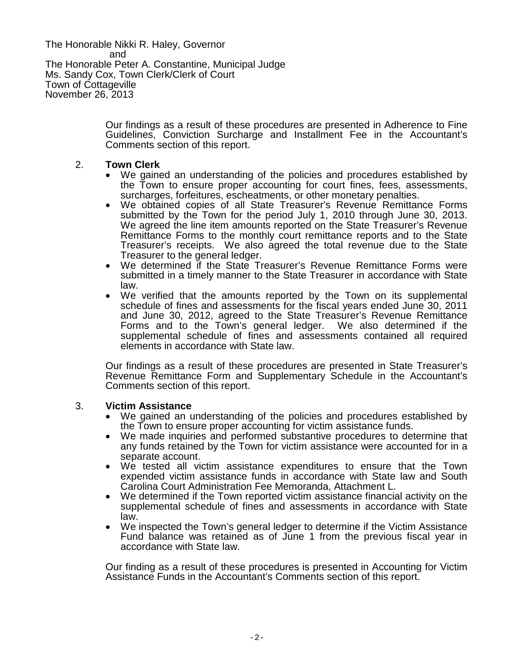The Honorable Nikki R. Haley, Governor and The Honorable Peter A. Constantine, Municipal Judge Ms. Sandy Cox, Town Clerk/Clerk of Court Town of Cottageville November 26, 2013

> Our findings as a result of these procedures are presented in Adherence to Fine Guidelines, Conviction Surcharge and Installment Fee in the Accountant's Comments section of this report.

#### 2. **Town Clerk**

- We gained an understanding of the policies and procedures established by the Town to ensure proper accounting for court fines, fees, assessments, surcharges, forfeitures, escheatments, or other monetary penalties.
- We obtained copies of all State Treasurer's Revenue Remittance Forms submitted by the Town for the period July 1, 2010 through June 30, 2013. We agreed the line item amounts reported on the State Treasurer's Revenue Remittance Forms to the monthly court remittance reports and to the State Treasurer's receipts. We also agreed the total revenue due to the State Treasurer to the general ledger.
- We determined if the State Treasurer's Revenue Remittance Forms were submitted in a timely manner to the State Treasurer in accordance with State law.
- We verified that the amounts reported by the Town on its supplemental schedule of fines and assessments for the fiscal years ended June 30, 2011 and June 30, 2012, agreed to the State Treasurer's Revenue Remittance Forms and to the Town's general ledger. We also determined if the supplemental schedule of fines and assessments contained all required elements in accordance with State law.

Our findings as a result of these procedures are presented in State Treasurer's Revenue Remittance Form and Supplementary Schedule in the Accountant's Comments section of this report.

- 3. **Victim Assistance**<br>• We gained an understanding of the policies and procedures established by<br>the Town to ensure proper accounting for victim assistance funds.
	- We made inquiries and performed substantive procedures to determine that any funds retained by the Town for victim assistance were accounted for in a
	- We tested all victim assistance expenditures to ensure that the Town expended victim assistance funds in accordance with State law and South Carolina Court Administration Fee Memoranda, Attachment L.
	- We determined if the Town reported victim assistance financial activity on the supplemental schedule of fines and assessments in accordance with State law.
	- We inspected the Town's general ledger to determine if the Victim Assistance Fund balance was retained as of June 1 from the previous fiscal year in accordance with State law.

Our finding as a result of these procedures is presented in Accounting for Victim Assistance Funds in the Accountant's Comments section of this report.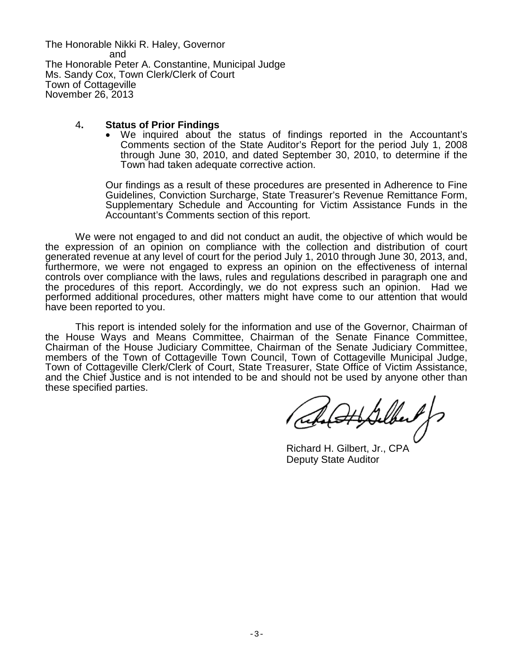The Honorable Nikki R. Haley, Governor and The Honorable Peter A. Constantine, Municipal Judge Ms. Sandy Cox, Town Clerk/Clerk of Court Town of Cottageville November 26, 2013

#### 4**. Status of Prior Findings**

• We inquired about the status of findings reported in the Accountant's Comments section of the State Auditor's Report for the period July 1, 2008 through June 30, 2010, and dated September 30, 2010, to determine if the Town had taken adequate corrective action.

Our findings as a result of these procedures are presented in Adherence to Fine Guidelines, Conviction Surcharge, State Treasurer's Revenue Remittance Form, Supplementary Schedule and Accounting for Victim Assistance Funds in the Accountant's Comments section of this report.

We were not engaged to and did not conduct an audit, the objective of which would be the expression of an opinion on compliance with the collection and distribution of court generated revenue at any level of court for the period July 1, 2010 through June 30, 2013, and, furthermore, we were not engaged to express an opinion on the effectiveness of internal controls over compliance with the laws, rules and regulations described in paragraph one and the procedures of this report. Accordingly, we do not express such an opinion. Had we performed additional procedures, other matters might have come to our attention that would have been reported to you.

This report is intended solely for the information and use of the Governor, Chairman of the House Ways and Means Committee, Chairman of the Senate Finance Committee, Chairman of the House Judiciary Committee, Chairman of the Senate Judiciary Committee, members of the Town of Cottageville Town Council, Town of Cottageville Municipal Judge, Town of Cottageville Clerk/Clerk of Court, State Treasurer, State Office of Victim Assistance, and the Chief Justice and is not intended to be and should not be used by anyone other than these specified parties.

(Ith Sulbert )

Richard H. Gilbert, Jr., CPA Deputy State Auditor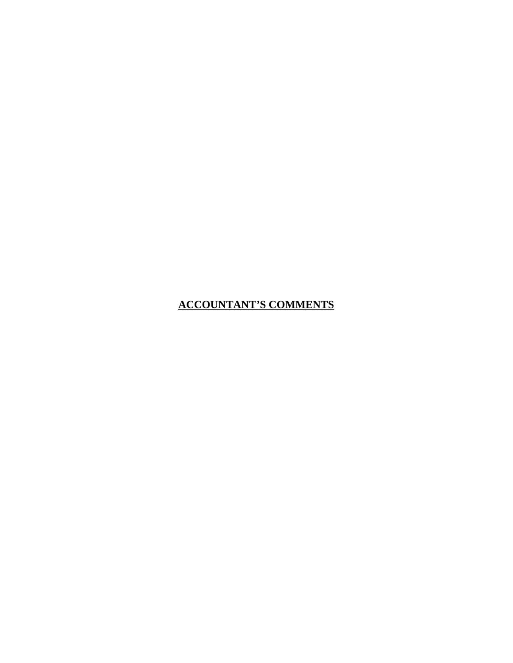**ACCOUNTANT'S COMMENTS**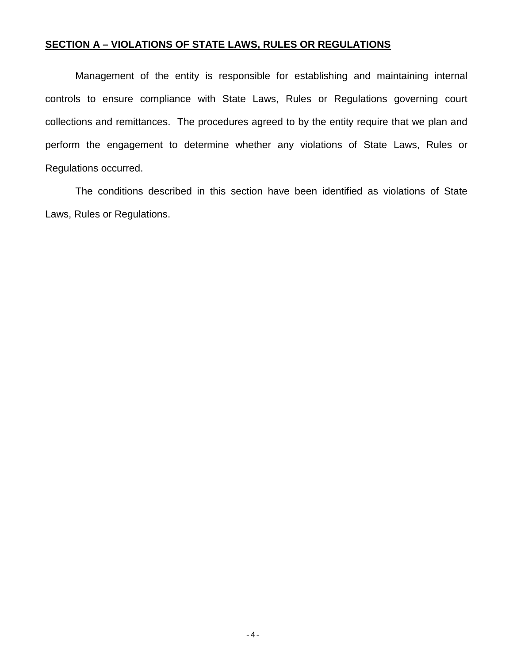#### **SECTION A – VIOLATIONS OF STATE LAWS, RULES OR REGULATIONS**

Management of the entity is responsible for establishing and maintaining internal controls to ensure compliance with State Laws, Rules or Regulations governing court collections and remittances. The procedures agreed to by the entity require that we plan and perform the engagement to determine whether any violations of State Laws, Rules or Regulations occurred.

The conditions described in this section have been identified as violations of State Laws, Rules or Regulations.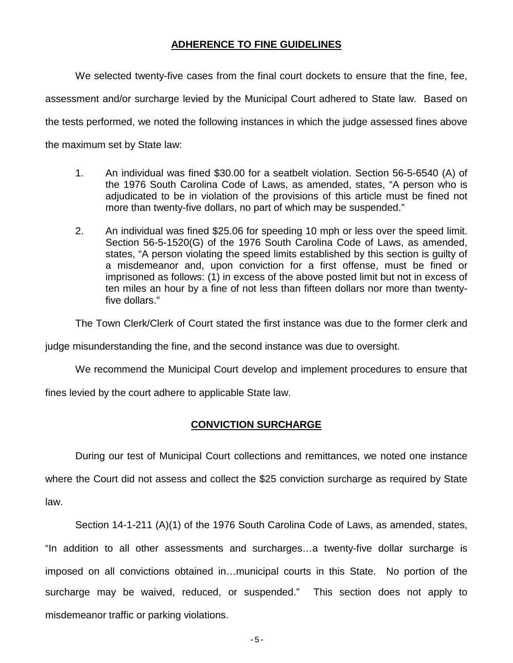#### **ADHERENCE TO FINE GUIDELINES**

We selected twenty-five cases from the final court dockets to ensure that the fine, fee,

assessment and/or surcharge levied by the Municipal Court adhered to State law. Based on

the tests performed, we noted the following instances in which the judge assessed fines above

the maximum set by State law:

- 1. An individual was fined \$30.00 for a seatbelt violation. Section 56-5-6540 (A) of the 1976 South Carolina Code of Laws, as amended, states, "A person who is adjudicated to be in violation of the provisions of this article must be fined not more than twenty-five dollars, no part of which may be suspended."
- 2. An individual was fined \$25.06 for speeding 10 mph or less over the speed limit. Section 56-5-1520(G) of the 1976 South Carolina Code of Laws, as amended, states, "A person violating the speed limits established by this section is guilty of a misdemeanor and, upon conviction for a first offense, must be fined or imprisoned as follows: (1) in excess of the above posted limit but not in excess of ten miles an hour by a fine of not less than fifteen dollars nor more than twentyfive dollars."

The Town Clerk/Clerk of Court stated the first instance was due to the former clerk and

judge misunderstanding the fine, and the second instance was due to oversight.

We recommend the Municipal Court develop and implement procedures to ensure that

fines levied by the court adhere to applicable State law.

### **CONVICTION SURCHARGE**

During our test of Municipal Court collections and remittances, we noted one instance

where the Court did not assess and collect the \$25 conviction surcharge as required by State law.

Section 14-1-211 (A)(1) of the 1976 South Carolina Code of Laws, as amended, states, "In addition to all other assessments and surcharges…a twenty-five dollar surcharge is imposed on all convictions obtained in…municipal courts in this State. No portion of the surcharge may be waived, reduced, or suspended." This section does not apply to misdemeanor traffic or parking violations.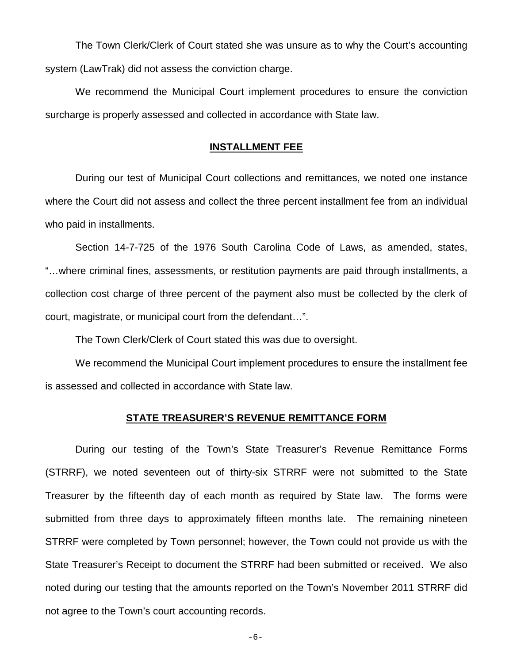The Town Clerk/Clerk of Court stated she was unsure as to why the Court's accounting system (LawTrak) did not assess the conviction charge.

We recommend the Municipal Court implement procedures to ensure the conviction surcharge is properly assessed and collected in accordance with State law.

#### **INSTALLMENT FEE**

During our test of Municipal Court collections and remittances, we noted one instance where the Court did not assess and collect the three percent installment fee from an individual who paid in installments.

Section 14-7-725 of the 1976 South Carolina Code of Laws, as amended, states, "…where criminal fines, assessments, or restitution payments are paid through installments, a collection cost charge of three percent of the payment also must be collected by the clerk of court, magistrate, or municipal court from the defendant…".

The Town Clerk/Clerk of Court stated this was due to oversight.

We recommend the Municipal Court implement procedures to ensure the installment fee is assessed and collected in accordance with State law.

#### **STATE TREASURER'S REVENUE REMITTANCE FORM**

During our testing of the Town's State Treasurer's Revenue Remittance Forms (STRRF), we noted seventeen out of thirty-six STRRF were not submitted to the State Treasurer by the fifteenth day of each month as required by State law. The forms were submitted from three days to approximately fifteen months late. The remaining nineteen STRRF were completed by Town personnel; however, the Town could not provide us with the State Treasurer's Receipt to document the STRRF had been submitted or received. We also noted during our testing that the amounts reported on the Town's November 2011 STRRF did not agree to the Town's court accounting records.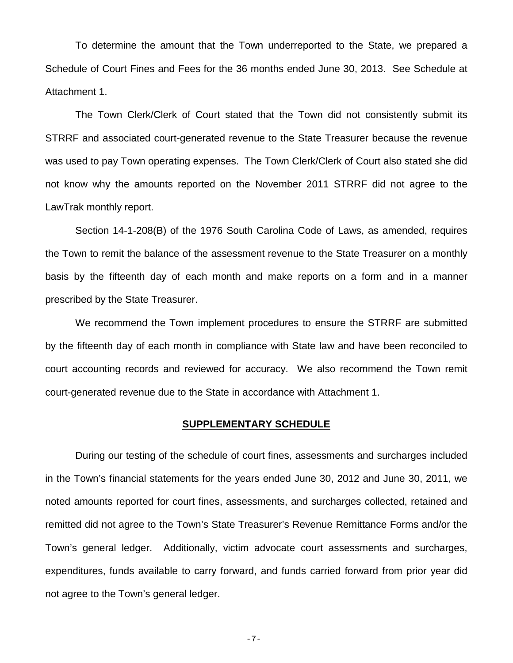To determine the amount that the Town underreported to the State, we prepared a Schedule of Court Fines and Fees for the 36 months ended June 30, 2013. See Schedule at Attachment 1.

The Town Clerk/Clerk of Court stated that the Town did not consistently submit its STRRF and associated court-generated revenue to the State Treasurer because the revenue was used to pay Town operating expenses. The Town Clerk/Clerk of Court also stated she did not know why the amounts reported on the November 2011 STRRF did not agree to the LawTrak monthly report.

Section 14-1-208(B) of the 1976 South Carolina Code of Laws, as amended, requires the Town to remit the balance of the assessment revenue to the State Treasurer on a monthly basis by the fifteenth day of each month and make reports on a form and in a manner prescribed by the State Treasurer.

We recommend the Town implement procedures to ensure the STRRF are submitted by the fifteenth day of each month in compliance with State law and have been reconciled to court accounting records and reviewed for accuracy. We also recommend the Town remit court-generated revenue due to the State in accordance with Attachment 1.

#### **SUPPLEMENTARY SCHEDULE**

During our testing of the schedule of court fines, assessments and surcharges included in the Town's financial statements for the years ended June 30, 2012 and June 30, 2011, we noted amounts reported for court fines, assessments, and surcharges collected, retained and remitted did not agree to the Town's State Treasurer's Revenue Remittance Forms and/or the Town's general ledger. Additionally, victim advocate court assessments and surcharges, expenditures, funds available to carry forward, and funds carried forward from prior year did not agree to the Town's general ledger.

-7-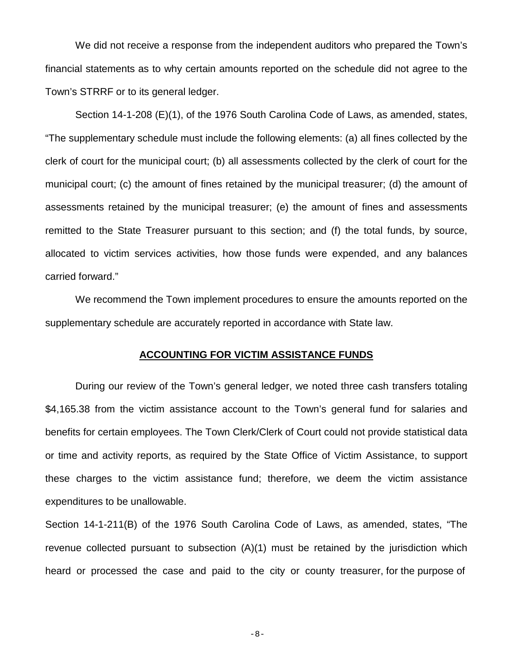We did not receive a response from the independent auditors who prepared the Town's financial statements as to why certain amounts reported on the schedule did not agree to the Town's STRRF or to its general ledger.

Section 14-1-208 (E)(1), of the 1976 South Carolina Code of Laws, as amended, states, "The supplementary schedule must include the following elements: (a) all fines collected by the clerk of court for the municipal court; (b) all assessments collected by the clerk of court for the municipal court; (c) the amount of fines retained by the municipal treasurer; (d) the amount of assessments retained by the municipal treasurer; (e) the amount of fines and assessments remitted to the State Treasurer pursuant to this section; and (f) the total funds, by source, allocated to victim services activities, how those funds were expended, and any balances carried forward."

We recommend the Town implement procedures to ensure the amounts reported on the supplementary schedule are accurately reported in accordance with State law.

#### **ACCOUNTING FOR VICTIM ASSISTANCE FUNDS**

During our review of the Town's general ledger, we noted three cash transfers totaling \$4,165.38 from the victim assistance account to the Town's general fund for salaries and benefits for certain employees. The Town Clerk/Clerk of Court could not provide statistical data or time and activity reports, as required by the State Office of Victim Assistance, to support these charges to the victim assistance fund; therefore, we deem the victim assistance expenditures to be unallowable.

Section 14-1-211(B) of the 1976 South Carolina Code of Laws, as amended, states, "The revenue collected pursuant to subsection (A)(1) must be retained by the jurisdiction which heard or processed the case and paid to the city or county treasurer, for the purpose of

-8-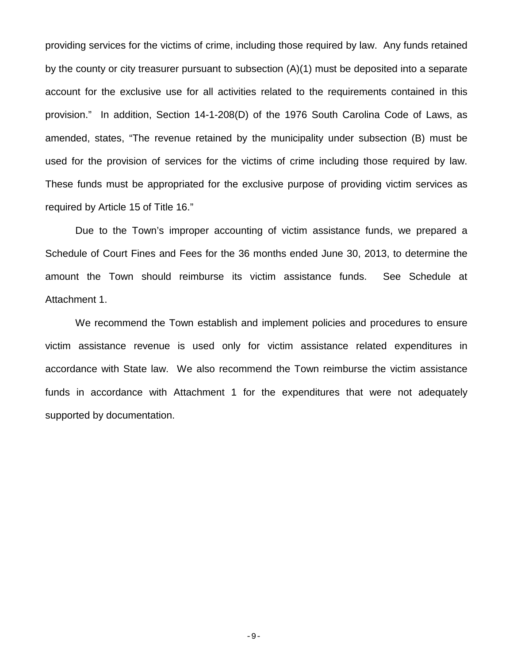providing services for the victims of crime, including those required by law. Any funds retained by the county or city treasurer pursuant to subsection (A)(1) must be deposited into a separate account for the exclusive use for all activities related to the requirements contained in this provision." In addition, Section 14-1-208(D) of the 1976 South Carolina Code of Laws, as amended, states, "The revenue retained by the municipality under subsection (B) must be used for the provision of services for the victims of crime including those required by law. These funds must be appropriated for the exclusive purpose of providing victim services as required by Article 15 of Title 16."

Due to the Town's improper accounting of victim assistance funds, we prepared a Schedule of Court Fines and Fees for the 36 months ended June 30, 2013, to determine the amount the Town should reimburse its victim assistance funds. See Schedule at Attachment 1.

We recommend the Town establish and implement policies and procedures to ensure victim assistance revenue is used only for victim assistance related expenditures in accordance with State law. We also recommend the Town reimburse the victim assistance funds in accordance with Attachment 1 for the expenditures that were not adequately supported by documentation.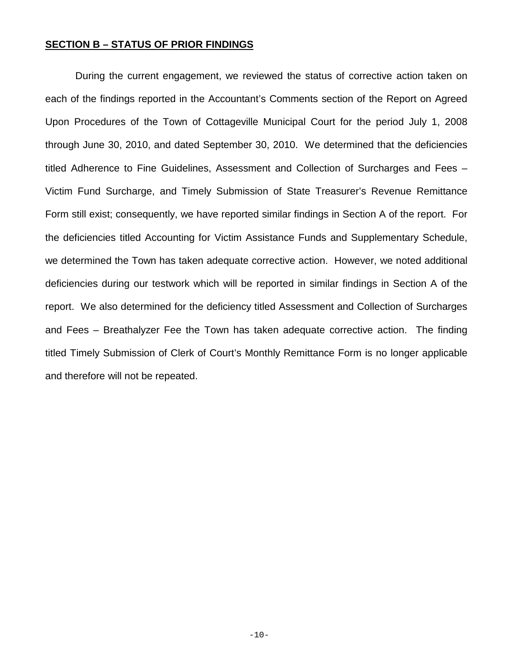#### **SECTION B – STATUS OF PRIOR FINDINGS**

During the current engagement, we reviewed the status of corrective action taken on each of the findings reported in the Accountant's Comments section of the Report on Agreed Upon Procedures of the Town of Cottageville Municipal Court for the period July 1, 2008 through June 30, 2010, and dated September 30, 2010. We determined that the deficiencies titled Adherence to Fine Guidelines, Assessment and Collection of Surcharges and Fees – Victim Fund Surcharge, and Timely Submission of State Treasurer's Revenue Remittance Form still exist; consequently, we have reported similar findings in Section A of the report. For the deficiencies titled Accounting for Victim Assistance Funds and Supplementary Schedule, we determined the Town has taken adequate corrective action. However, we noted additional deficiencies during our testwork which will be reported in similar findings in Section A of the report. We also determined for the deficiency titled Assessment and Collection of Surcharges and Fees – Breathalyzer Fee the Town has taken adequate corrective action. The finding titled Timely Submission of Clerk of Court's Monthly Remittance Form is no longer applicable and therefore will not be repeated.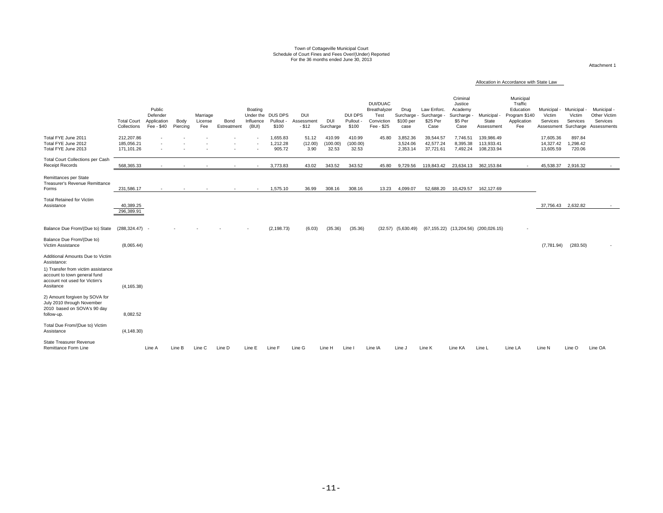#### Town of Cottageville Municipal Court Schedule of Court Fines and Fees Over/(Under) Reported For the 36 months ended June 30, 2013

Attachment 1

#### Allocation in Accordance with State Law

|                                                                                                                  | <b>Total Court</b><br>Collections      | Public<br>Defender<br>Application<br>Fee - \$40 | Body<br>Piercing | Marriage<br>License<br>Fee | Bond<br>Estreatment | Boating<br>Under the<br>Influence<br>(BUI) | DUS DPS<br>Pullout<br>\$100    | <b>DUI</b><br>Assessment<br>$-$ \$12 | <b>DUI</b><br>Surcharge     | DUI DPS<br>Pullout<br>\$100 | DUI/DUAC<br>Breathalyzer<br>Test<br>Conviction<br>Fee - \$25 | Drug<br>Surcharge -<br>\$100 per<br>case | Law Enforc.<br>Surcharge<br>\$25 Per<br>Case | Criminal<br>Justice<br>Academy<br>Surcharge -<br>\$5 Per<br>Case | Municipal<br>State<br>Assessment       | Municipal<br>Traffic<br>Education<br>Program \$140<br>Application<br>Fee | Municipal<br>Victim<br>Services<br>Assessment | Municipal<br>Victim<br>Services<br>Surcharge | Municipal -<br>Other Victim<br>Services<br>Assessments |
|------------------------------------------------------------------------------------------------------------------|----------------------------------------|-------------------------------------------------|------------------|----------------------------|---------------------|--------------------------------------------|--------------------------------|--------------------------------------|-----------------------------|-----------------------------|--------------------------------------------------------------|------------------------------------------|----------------------------------------------|------------------------------------------------------------------|----------------------------------------|--------------------------------------------------------------------------|-----------------------------------------------|----------------------------------------------|--------------------------------------------------------|
| Total FYE June 2011<br>Total FYE June 2012<br>Total FYE June 2013                                                | 212,207.86<br>185.056.21<br>171.101.26 |                                                 |                  |                            |                     |                                            | 1,655.83<br>1.212.28<br>905.72 | 51.12<br>(12.00)<br>3.90             | 410.99<br>(100.00)<br>32.53 | 410.99<br>(100.00)<br>32.53 | 45.80                                                        | 3,852.36<br>3,524.06<br>2,353.14         | 39,544.57<br>42.577.24<br>37,721.61          | 7,746.51<br>8.395.38<br>7,492.24                                 | 139,986.49<br>113.933.41<br>108,233.94 |                                                                          | 17,605.36<br>14,327.42<br>13,605.59           | 897.84<br>1.298.42<br>720.06                 |                                                        |
| Total Court Collections per Cash<br><b>Receipt Records</b>                                                       | 568.365.33                             |                                                 |                  |                            |                     |                                            | 3.773.83                       | 43.02                                | 343.52                      | 343.52                      | 45.80                                                        | 9.729.56                                 | 119.843.42                                   | 23.634.13                                                        | 362.153.84                             |                                                                          | 45.538.37                                     | 2.916.32                                     |                                                        |
| Remittances per State<br>Treasurer's Revenue Remittance<br>Forms                                                 | 231,586.17                             |                                                 |                  |                            |                     |                                            | 1,575.10                       | 36.99                                | 308.16                      | 308.16                      | 13.23                                                        | 4,099.07                                 | 52,688.20                                    | 10,429.57                                                        | 162,127.69                             |                                                                          |                                               |                                              |                                                        |
| <b>Total Retained for Victim</b><br>Assistance                                                                   | 40,389.25<br>296,389.91                |                                                 |                  |                            |                     |                                            |                                |                                      |                             |                             |                                                              |                                          |                                              |                                                                  |                                        |                                                                          | 37,756.43 2,632.82                            |                                              |                                                        |
| Balance Due From/(Due to) State                                                                                  | $(288, 324.47) -$                      |                                                 |                  |                            |                     |                                            | (2, 198.73)                    | (6.03)                               | (35.36)                     | (35.36)                     |                                                              | $(32.57)$ $(5,630.49)$                   |                                              | (67,155.22) (13,204.56) (200,026.15)                             |                                        |                                                                          |                                               |                                              |                                                        |
| Balance Due From/(Due to)<br>Victim Assistance                                                                   | (8,065.44)                             |                                                 |                  |                            |                     |                                            |                                |                                      |                             |                             |                                                              |                                          |                                              |                                                                  |                                        |                                                                          | (7,781.94)                                    | (283.50)                                     |                                                        |
| Additional Amounts Due to Victim<br>Assistance:                                                                  |                                        |                                                 |                  |                            |                     |                                            |                                |                                      |                             |                             |                                                              |                                          |                                              |                                                                  |                                        |                                                                          |                                               |                                              |                                                        |
| 1) Transfer from victim assistance<br>account to town general fund<br>account not used for Victim's<br>Assitance | (4, 165.38)                            |                                                 |                  |                            |                     |                                            |                                |                                      |                             |                             |                                                              |                                          |                                              |                                                                  |                                        |                                                                          |                                               |                                              |                                                        |
| 2) Amount forgiven by SOVA for<br>July 2010 through November<br>2010 based on SOVA's 90 day<br>follow-up.        | 8,082.52                               |                                                 |                  |                            |                     |                                            |                                |                                      |                             |                             |                                                              |                                          |                                              |                                                                  |                                        |                                                                          |                                               |                                              |                                                        |
| Total Due From/(Due to) Victim<br>Assistance                                                                     | (4, 148.30)                            |                                                 |                  |                            |                     |                                            |                                |                                      |                             |                             |                                                              |                                          |                                              |                                                                  |                                        |                                                                          |                                               |                                              |                                                        |
| <b>State Treasurer Revenue</b><br>Remittance Form Line                                                           |                                        | Line A                                          | Line B           | Line C                     | Line D              | Line E                                     | Line F                         | Line G                               | Line H                      | Line I                      | Line IA                                                      | Line J                                   | Line K                                       | Line KA                                                          | Line L                                 | Line LA                                                                  | Line N                                        | Line O                                       | Line OA                                                |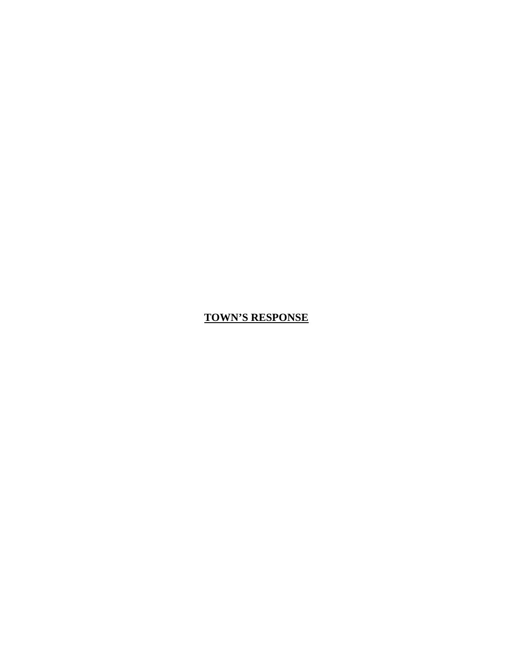#### **TOWN'S RESPONSE**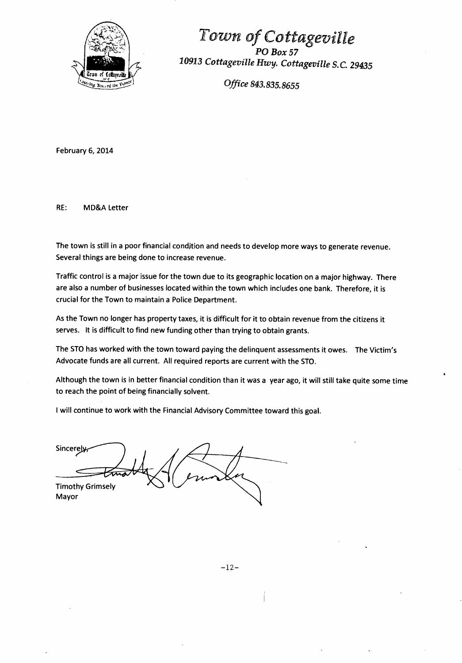

Town of Cottageville *POBox57 10913 Cottageville* Hwy. *Cottageville* S.C. *29435* 

*Office 843. 835. 8655* 

February 6, 2014

RE: MD&A Letter

The town is still in a poor financial condition and needs to develop more ways to generate revenue. Several things are being done to increase revenue.

Traffic control is a major issue for the town due to its geographic location on a major highway. There are also a number of businesses located within the town which includes one bank. Therefore, it is crucial for the Town to maintain a Police Department.

As the Town no longer has property taxes, it is difficult for it to obtain revenue from the citizens it serves. It is difficult to find new funding other than trying to obtain grants.

The STO has worked with the town toward paying the delinquent assessments it owes. The Victim's Advocate funds are all current. All required reports are current with the STO.

Although the town is in better financial condition than it was a year ago, it will still take quite some time to reach the point of being financially solvent.

I will continue to work with the Financial Advisory Committee toward this goal.

Sincere Timothy Grimsely Mayor